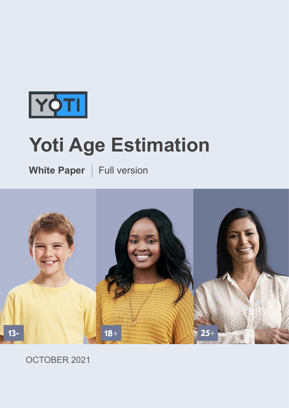

# **Yoti Age Estimation**

**White Paper** | Full version



#### OCTOBER 2021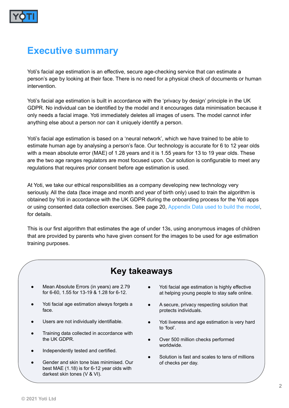

#### **Executive summary**

Yoti's facial age estimation is an effective, secure age-checking service that can estimate a person's age by looking at their face. There is no need for a physical check of documents or human intervention.

Yoti's facial age estimation is built in accordance with the 'privacy by design' principle in the UK GDPR. No individual can be identified by the model and it encourages data minimisation because it only needs a facial image. Yoti immediately deletes all images of users. The model cannot infer anything else about a person nor can it uniquely identify a person.

Yoti's facial age estimation is based on a 'neural network', which we have trained to be able to estimate human age by analysing a person's face. Our technology is accurate for 6 to 12 year olds with a mean absolute error (MAE) of 1.28 years and it is 1.55 years for 13 to 19 year olds. These are the two age ranges regulators are most focused upon. Our solution is configurable to meet any regulations that requires prior consent before age estimation is used.

At Yoti, we take our ethical responsibilities as a company developing new technology very seriously. All the data (face image and month and year of birth only) used to train the algorithm is obtained by Yoti in accordance with the UK GDPR during the onboarding process for the Yoti apps or using consented data collection exercises. See page 20, Appendix Data used to build the model, for details.

This is our first algorithm that estimates the age of under 13s, using anonymous images of children that are provided by parents who have given consent for the images to be used for age estimation training purposes.

#### **Key takeaways**

- Mean Absolute Errors (in years) are 2.79 for 6-60, 1.55 for 13-19 & 1.28 for 6-12.
- Yoti facial age estimation always forgets a face.
- Users are not individually identifiable.
- Training data collected in accordance with the UK GDPR.
- Independently tested and certified.
- Gender and skin tone bias minimised. Our best MAE (1.18) is for 6-12 year olds with darkest skin tones (V & VI).
- Yoti facial age estimation is highly effective at helping young people to stay safe online.
- A secure, privacy respecting solution that protects individuals.
- Yoti liveness and age estimation is very hard to 'fool'.
- Over 500 million checks performed worldwide.
- Solution is fast and scales to tens of millions of checks per day.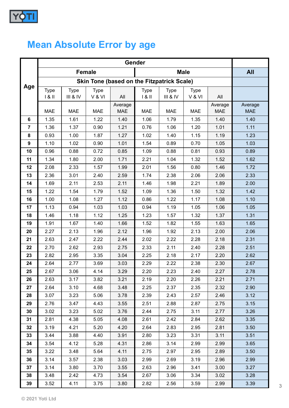

# **Mean Absolute Error by age**

| Age            |                                                                    | <b>All</b>  |             |            |             |             |             |            |            |
|----------------|--------------------------------------------------------------------|-------------|-------------|------------|-------------|-------------|-------------|------------|------------|
|                | <b>Female</b><br><b>Skin Tone (based on the Fitzpatrick Scale)</b> |             |             |            |             |             |             |            |            |
|                | <b>Type</b>                                                        | <b>Type</b> | <b>Type</b> |            | <b>Type</b> | <b>Type</b> | <b>Type</b> |            |            |
|                | 181                                                                | III & IV    | V & VI      | All        | 181         | III & IV    | V & VI      | All        |            |
|                |                                                                    |             |             | Average    |             |             |             | Average    | Average    |
|                | <b>MAE</b>                                                         | <b>MAE</b>  | <b>MAE</b>  | <b>MAE</b> | <b>MAE</b>  | <b>MAE</b>  | <b>MAE</b>  | <b>MAE</b> | <b>MAE</b> |
| 6              | 1.35                                                               | 1.61        | 1.22        | 1.40       | 1.06        | 1.79        | 1.35        | 1.40       | 1.40       |
| $\overline{7}$ | 1.36                                                               | 1.37        | 0.90        | 1.21       | 0.76        | 1.06        | 1.20        | 1.01       | 1.11       |
| 8              | 0.93                                                               | 1.00        | 1.87        | 1.27       | 1.02        | 1.40        | 1.15        | 1.19       | 1.23       |
| 9              | 1.10                                                               | 1.02        | 0.90        | 1.01       | 1.54        | 0.89        | 0.70        | 1.05       | 1.03       |
| 10             | 0.96                                                               | 0.88        | 0.72        | 0.85       | 1.09        | 0.88        | 0.81        | 0.93       | 0.89       |
| 11             | 1.34                                                               | 1.80        | 2.00        | 1.71       | 2.21        | 1.04        | 1.32        | 1.52       | 1.62       |
| 12             | 2.08                                                               | 2.33        | 1.57        | 1.99       | 2.01        | 1.56        | 0.80        | 1.46       | 1.72       |
| 13             | 2.36                                                               | 3.01        | 2.40        | 2.59       | 1.74        | 2.38        | 2.06        | 2.06       | 2.33       |
| 14             | 1.69                                                               | 2.11        | 2.53        | 2.11       | 1.46        | 1.98        | 2.21        | 1.89       | 2.00       |
| 15             | 1.22                                                               | 1.54        | 1.79        | 1.52       | 1.09        | 1.36        | 1.50        | 1.32       | 1.42       |
| 16             | 1.00                                                               | 1.08        | 1.27        | 1.12       | 0.86        | 1.22        | 1.17        | 1.08       | 1.10       |
| 17             | 1.13                                                               | 0.94        | 1.03        | 1.03       | 0.94        | 1.19        | 1.05        | 1.06       | 1.05       |
| 18             | 1.46                                                               | 1.18        | 1.12        | 1.25       | 1.23        | 1.57        | 1.32        | 1.37       | 1.31       |
| 19             | 1.91                                                               | 1.67        | 1.40        | 1.66       | 1.52        | 1.82        | 1.55        | 1.63       | 1.65       |
| 20             | 2.27                                                               | 2.13        | 1.96        | 2.12       | 1.96        | 1.92        | 2.13        | 2.00       | 2.06       |
| 21             | 2.63                                                               | 2.47        | 2.22        | 2.44       | 2.02        | 2.22        | 2.28        | 2.18       | 2.31       |
| 22             | 2.70                                                               | 2.62        | 2.93        | 2.75       | 2.33        | 2.11        | 2.40        | 2.28       | 2.51       |
| 23             | 2.82                                                               | 2.95        | 3.35        | 3.04       | 2.25        | 2.18        | 2.17        | 2.20       | 2.62       |
| 24             | 2.64                                                               | 2.77        | 3.69        | 3.03       | 2.29        | 2.22        | 2.38        | 2.30       | 2.67       |
| 25             | 2.67                                                               | 3.06        | 4.14        | 3.29       | 2.20        | 2.23        | 2.40        | 2.27       | 2.78       |
| 26             | 2.63                                                               | 3.17        | 3.82        | 3.21       | 2.19        | 2.20        | 2.26        | 2.21       | 2.71       |
| 27             | 2.64                                                               | 3.10        | 4.68        | 3.48       | 2.25        | 2.37        | 2.35        | 2.32       | 2.90       |
| 28             | 3.07                                                               | 3.23        | 5.06        | 3.78       | 2.39        | 2.43        | 2.57        | 2.46       | 3.12       |
| 29             | 2.76                                                               | 3.47        | 4.43        | 3.55       | 2.51        | 2.88        | 2.87        | 2.75       | 3.15       |
| 30             | 3.02                                                               | 3.23        | 5.02        | 3.76       | 2.44        | 2.75        | 3.11        | 2.77       | 3.26       |
| 31             | 2.81                                                               | 4.38        | 5.05        | 4.08       | 2.61        | 2.42        | 2.84        | 2.62       | 3.35       |
| 32             | 3.19                                                               | 4.21        | 5.20        | 4.20       | 2.64        | 2.83        | 2.95        | 2.81       | 3.50       |
| 33             | 3.44                                                               | 3.88        | 4.40        | 3.91       | 2.80        | 3.23        | 3.31        | 3.11       | 3.51       |
| 34             | 3.54                                                               | 4.12        | 5.28        | 4.31       | 2.86        | 3.14        | 2.99        | 2.99       | 3.65       |
| 35             | 3.22                                                               | 3.48        | 5.64        | 4.11       | 2.75        | 2.97        | 2.95        | 2.89       | 3.50       |
| 36             | 3.14                                                               | 3.57        | 2.38        | 3.03       | 2.99        | 2.69        | 3.19        | 2.96       | 2.99       |
| 37             | 3.14                                                               | 3.80        | 3.70        | 3.55       | 2.63        | 2.96        | 3.41        | 3.00       | 3.27       |
| 38             | 3.48                                                               | 2.42        | 4.73        | 3.54       | 2.67        | 3.06        | 3.34        | 3.02       | 3.28       |
| 39             | 3.52                                                               | 4.11        | 3.75        | 3.80       | 2.82        | 2.56        | 3.59        | 2.99       | 3.39       |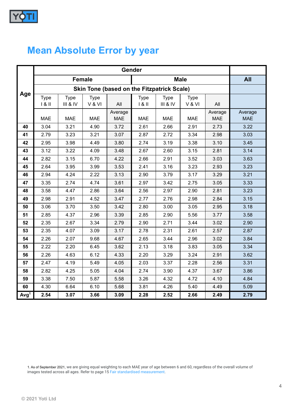

## **Mean Absolute Error by year**

| Age              |                                                   |                         |                |                       |                    |                         |                       |                       |                       |
|------------------|---------------------------------------------------|-------------------------|----------------|-----------------------|--------------------|-------------------------|-----------------------|-----------------------|-----------------------|
|                  | <b>Female</b>                                     |                         |                |                       | <b>Male</b>        |                         |                       |                       | <b>All</b>            |
|                  | <b>Skin Tone (based on the Fitzpatrick Scale)</b> |                         |                |                       |                    |                         |                       |                       |                       |
|                  | <b>Type</b><br>181                                | <b>Type</b><br>III & IV | Type<br>V & VI | All                   | <b>Type</b><br>181 | <b>Type</b><br>III & IV | <b>Type</b><br>V & VI | All                   |                       |
|                  | <b>MAE</b>                                        | <b>MAE</b>              | <b>MAE</b>     | Average<br><b>MAE</b> | <b>MAE</b>         | <b>MAE</b>              | <b>MAE</b>            | Average<br><b>MAE</b> | Average<br><b>MAE</b> |
| 40               | 3.04                                              | 3.21                    | 4.90           | 3.72                  | 2.61               | 2.66                    | 2.91                  | 2.73                  | 3.22                  |
| 41               | 2.79                                              | 3.23                    | 3.21           | 3.07                  | 2.87               | 2.72                    | 3.34                  | 2.98                  | 3.03                  |
| 42               | 2.95                                              | 3.98                    | 4.49           | 3.80                  | 2.74               | 3.19                    | 3.38                  | 3.10                  | 3.45                  |
| 43               | 3.12                                              | 3.22                    | 4.09           | 3.48                  | 2.67               | 2.60                    | 3.15                  | 2.81                  | 3.14                  |
| 44               | 2.82                                              | 3.15                    | 6.70           | 4.22                  | 2.66               | 2.91                    | 3.52                  | 3.03                  | 3.63                  |
| 45               | 2.64                                              | 3.95                    | 3.99           | 3.53                  | 2.41               | 3.16                    | 3.23                  | 2.93                  | 3.23                  |
| 46               | 2.94                                              | 4.24                    | 2.22           | 3.13                  | 2.90               | 3.79                    | 3.17                  | 3.29                  | 3.21                  |
| 47               | 3.35                                              | 2.74                    | 4.74           | 3.61                  | 2.97               | 3.42                    | 2.75                  | 3.05                  | 3.33                  |
| 48               | 3.58                                              | 4.47                    | 2.86           | 3.64                  | 2.56               | 2.97                    | 2.90                  | 2.81                  | 3.23                  |
| 49               | 2.98                                              | 2.91                    | 4.52           | 3.47                  | 2.77               | 2.76                    | 2.98                  | 2.84                  | 3.15                  |
| 50               | 3.06                                              | 3.70                    | 3.50           | 3.42                  | 2.80               | 3.00                    | 3.05                  | 2.95                  | 3.18                  |
| 51               | 2.85                                              | 4.37                    | 2.96           | 3.39                  | 2.85               | 2.90                    | 5.56                  | 3.77                  | 3.58                  |
| 52               | 2.35                                              | 2.67                    | 3.34           | 2.79                  | 2.90               | 2.71                    | 3.44                  | 3.02                  | 2.90                  |
| 53               | 2.35                                              | 4.07                    | 3.09           | 3.17                  | 2.78               | 2.31                    | 2.61                  | 2.57                  | 2.87                  |
| 54               | 2.26                                              | 2.07                    | 9.68           | 4.67                  | 2.65               | 3.44                    | 2.96                  | 3.02                  | 3.84                  |
| 55               | 2.22                                              | 2.20                    | 6.45           | 3.62                  | 2.13               | 3.18                    | 3.83                  | 3.05                  | 3.34                  |
| 56               | 2.26                                              | 4.63                    | 6.12           | 4.33                  | 2.20               | 3.29                    | 3.24                  | 2.91                  | 3.62                  |
| 57               | 2.47                                              | 4.19                    | 5.49           | 4.05                  | 2.03               | 3.37                    | 2.28                  | 2.56                  | 3.31                  |
| 58               | 2.82                                              | 4.25                    | 5.05           | 4.04                  | 2.74               | 3.90                    | 4.37                  | 3.67                  | 3.86                  |
| 59               | 3.38                                              | 7.50                    | 5.87           | 5.58                  | 3.26               | 4.32                    | 4.72                  | 4.10                  | 4.84                  |
| 60               | 4.30                                              | 6.64                    | 6.10           | 5.68                  | 3.81               | 4.26                    | 5.40                  | 4.49                  | 5.09                  |
| Avg <sup>1</sup> | 2.54                                              | 3.07                    | 3.66           | 3.09                  | 2.28               | 2.52                    | 2.66                  | 2.49                  | 2.79                  |

1. As of September 2021, we are giving equal weighting to each MAE year of age between 6 and 60, regardless of the overall volume of images tested across all ages. Refer to page 15 <u>Fair</u> standardised measurement.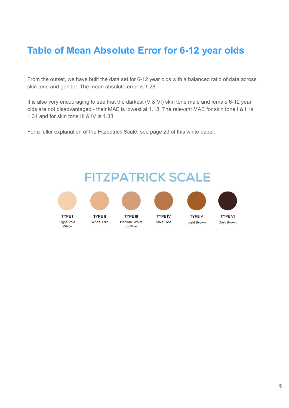### **Table of Mean Absolute Error for 6-12 year olds**

From the outset, we have built the data set for 6-12 year olds with a balanced ratio of data across skin tone and gender. The mean absolute error is 1.28.

It is also very encouraging to see that the darkest (V & VI) skin tone male and female 6-12 year olds are not disadvantaged - their MAE is lowest at 1.18. The relevant MAE for skin tone I & II is 1.34 and for skin tone III & IV is 1.33.

For a fuller explanation of the Fitzpatrick Scale, see page 23 of this white paper.